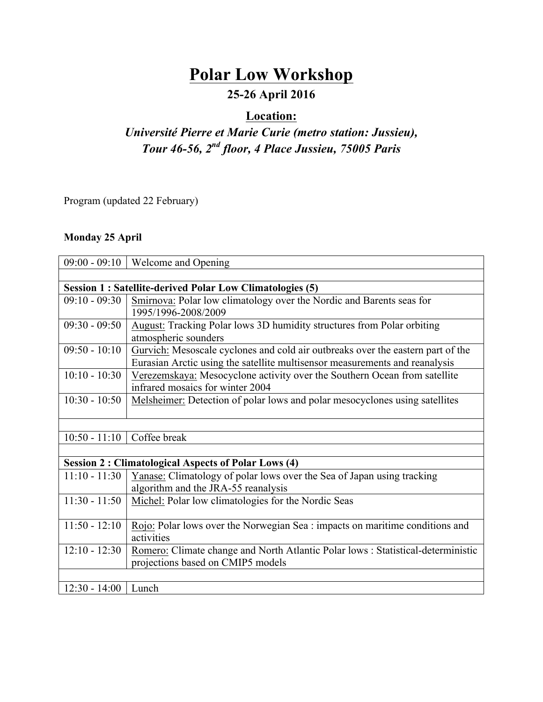# **Polar Low Workshop**

## **25-26 April 2016**

### **Location:**

## *Université Pierre et Marie Curie (metro station: Jussieu), Tour 46-56, 2nd floor, 4 Place Jussieu, 75005 Paris*

Program (updated 22 February)

#### **Monday 25 April**

| $09:00 - 09:10$                                                 | Welcome and Opening                                                              |  |
|-----------------------------------------------------------------|----------------------------------------------------------------------------------|--|
|                                                                 |                                                                                  |  |
| <b>Session 1: Satellite-derived Polar Low Climatologies (5)</b> |                                                                                  |  |
| $09:10 - 09:30$                                                 | Smirnova: Polar low climatology over the Nordic and Barents seas for             |  |
|                                                                 | 1995/1996-2008/2009                                                              |  |
| $09:30 - 09:50$                                                 | August: Tracking Polar lows 3D humidity structures from Polar orbiting           |  |
|                                                                 | atmospheric sounders                                                             |  |
| $09:50 - 10:10$                                                 | Gurvich: Mesoscale cyclones and cold air outbreaks over the eastern part of the  |  |
|                                                                 | Eurasian Arctic using the satellite multisensor measurements and reanalysis      |  |
| $10:10 - 10:30$                                                 | Verezemskaya: Mesocyclone activity over the Southern Ocean from satellite        |  |
|                                                                 | infrared mosaics for winter 2004                                                 |  |
| $10:30 - 10:50$                                                 | Melsheimer: Detection of polar lows and polar mesocyclones using satellites      |  |
|                                                                 |                                                                                  |  |
|                                                                 |                                                                                  |  |
| $10:50 - 11:10$                                                 | Coffee break                                                                     |  |
|                                                                 |                                                                                  |  |
| <b>Session 2: Climatological Aspects of Polar Lows (4)</b>      |                                                                                  |  |
| $11:10 - 11:30$                                                 | Yanase: Climatology of polar lows over the Sea of Japan using tracking           |  |
|                                                                 | algorithm and the JRA-55 reanalysis                                              |  |
| $11:30 - 11:50$                                                 | Michel: Polar low climatologies for the Nordic Seas                              |  |
|                                                                 |                                                                                  |  |
| $11:50 - 12:10$                                                 | Rojo: Polar lows over the Norwegian Sea : impacts on maritime conditions and     |  |
|                                                                 | activities                                                                       |  |
| $12:10 - 12:30$                                                 | Romero: Climate change and North Atlantic Polar lows : Statistical-deterministic |  |
|                                                                 | projections based on CMIP5 models                                                |  |
|                                                                 |                                                                                  |  |
| $12:30 - 14:00$                                                 | Lunch                                                                            |  |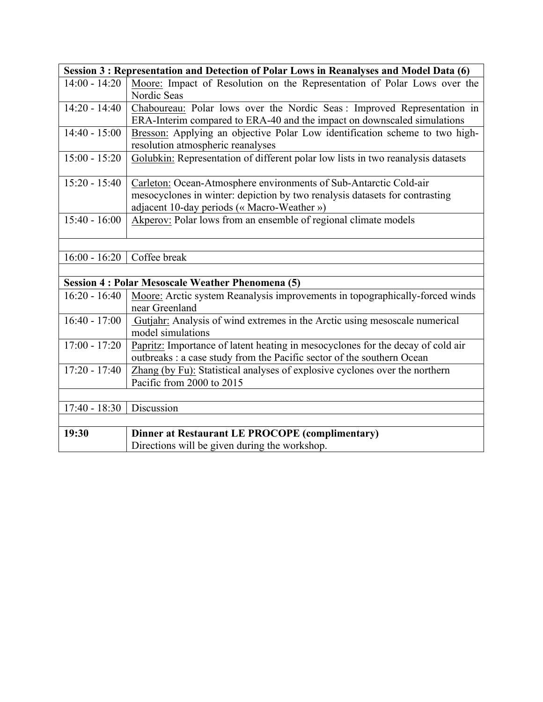| Session 3 : Representation and Detection of Polar Lows in Reanalyses and Model Data (6) |                                                                                  |  |
|-----------------------------------------------------------------------------------------|----------------------------------------------------------------------------------|--|
| $14:00 - 14:20$                                                                         | Moore: Impact of Resolution on the Representation of Polar Lows over the         |  |
|                                                                                         | Nordic Seas                                                                      |  |
| $14:20 - 14:40$                                                                         | Chaboureau: Polar lows over the Nordic Seas : Improved Representation in         |  |
|                                                                                         | ERA-Interim compared to ERA-40 and the impact on downscaled simulations          |  |
| $14:40 - 15:00$                                                                         | Bresson: Applying an objective Polar Low identification scheme to two high-      |  |
|                                                                                         | resolution atmospheric reanalyses                                                |  |
| $15:00 - 15:20$                                                                         | Golubkin: Representation of different polar low lists in two reanalysis datasets |  |
| $15:20 - 15:40$                                                                         | Carleton: Ocean-Atmosphere environments of Sub-Antarctic Cold-air                |  |
|                                                                                         | mesocyclones in winter: depiction by two renalysis datasets for contrasting      |  |
|                                                                                         | adjacent 10-day periods (« Macro-Weather »)                                      |  |
| $15:40 - 16:00$                                                                         | Akperov: Polar lows from an ensemble of regional climate models                  |  |
|                                                                                         |                                                                                  |  |
|                                                                                         |                                                                                  |  |
| $16:00 - 16:20$                                                                         | Coffee break                                                                     |  |
|                                                                                         |                                                                                  |  |
| <b>Session 4: Polar Mesoscale Weather Phenomena (5)</b>                                 |                                                                                  |  |
| $16:20 - 16:40$                                                                         | Moore: Arctic system Reanalysis improvements in topographically-forced winds     |  |
|                                                                                         | near Greenland                                                                   |  |
| $16:40 - 17:00$                                                                         | Gutjahr: Analysis of wind extremes in the Arctic using mesoscale numerical       |  |
|                                                                                         | model simulations                                                                |  |
| $17:00 - 17:20$                                                                         | Papritz: Importance of latent heating in mesocyclones for the decay of cold air  |  |
|                                                                                         | outbreaks : a case study from the Pacific sector of the southern Ocean           |  |
| $17:20 - 17:40$                                                                         | Zhang (by Fu): Statistical analyses of explosive cyclones over the northern      |  |
|                                                                                         | Pacific from 2000 to 2015                                                        |  |
|                                                                                         |                                                                                  |  |
| $17:40 - 18:30$                                                                         | Discussion                                                                       |  |
|                                                                                         |                                                                                  |  |
| 19:30                                                                                   | <b>Dinner at Restaurant LE PROCOPE (complimentary)</b>                           |  |
|                                                                                         | Directions will be given during the workshop.                                    |  |